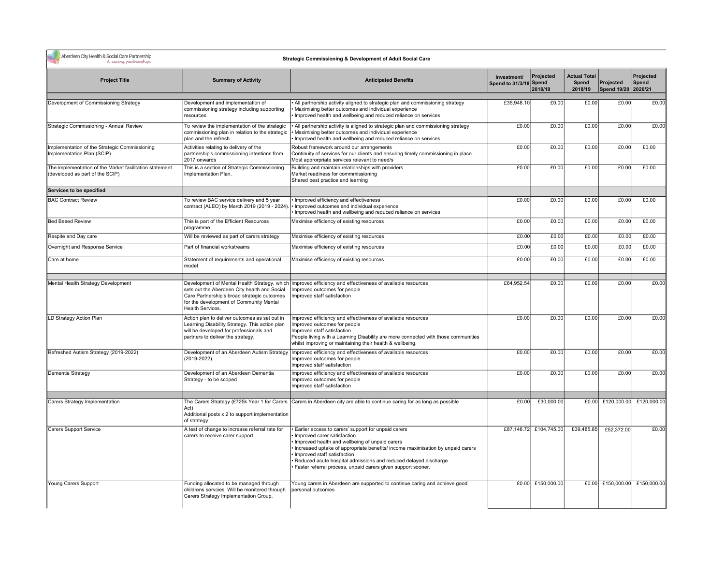|  | Aberdeen City Health & Social Care Partner<br>A caping partners |
|--|-----------------------------------------------------------------|
|--|-----------------------------------------------------------------|

& Social Care Partnership<br>A casing pastnesship

## Strategic Commissioning & Development of Adult Social Care

| <b>Project Title</b>                                                                       | <b>Summary of Activity</b>                                                                                                                                                                                 | <b>Anticipated Benefits</b>                                                                                                                                                                                                                                                                                                                                                              | Investment/<br>Spend to 31/3/18 Spend | Projected<br>2018/19   | <b>Actual Total</b><br>Spend<br>2018/19 | Projected<br>Spend 19/20 2020/21 | Projected<br>Spend            |
|--------------------------------------------------------------------------------------------|------------------------------------------------------------------------------------------------------------------------------------------------------------------------------------------------------------|------------------------------------------------------------------------------------------------------------------------------------------------------------------------------------------------------------------------------------------------------------------------------------------------------------------------------------------------------------------------------------------|---------------------------------------|------------------------|-----------------------------------------|----------------------------------|-------------------------------|
| Development of Commissioning Strategy                                                      | Development and implementation of<br>commissioning strategy including supporting<br>resources.                                                                                                             | • All partnership activity aligned to strategic plan and commissioning strategy<br>Maximising better outcomes and individual experience<br>Improved health and wellbeing and reduced reliance on services                                                                                                                                                                                | £35,948.10                            | £0.00                  | £0.00                                   | £0.00                            | £0.00                         |
| Strategic Commissioning - Annual Review                                                    | To review the implementation of the strategic<br>commissioning plan in relation to the strategic<br>plan and the refresh                                                                                   | All partnership activity is aligned to strategic plan and commissioning strategy<br>Maximising better outcomes and individual experience<br>Improved health and wellbeing and reduced reliance on services                                                                                                                                                                               | £0.00                                 | £0.00                  | £0.00                                   | £0.00                            | £0.00                         |
| mplementation of the Strategic Commissioning<br>mplementation Plan (SCIP)                  | Activities relating to delivery of the<br>partnership's commissioning intentions from<br>2017 onwards                                                                                                      | Robust framework around our arrangements<br>Continuity of services for our clients and ensuring timely commissioning in place<br>Most approrpriate services relevant to need/s                                                                                                                                                                                                           | £0.00                                 | £0.00                  | £0.00                                   | £0.00                            | £0.00                         |
| The implementation of the Market facilitation statement<br>(developed as part of the SCIP) | This is a section of Strategic Commissioning<br>Implementation Plan.                                                                                                                                       | Building and maintain relationships with providers<br>Market readiness for commmissioning<br>Shared best practice and learning                                                                                                                                                                                                                                                           | E0.00                                 | £0.00                  | £0.00                                   | £0.00                            | £0.00                         |
| Services to be specified                                                                   |                                                                                                                                                                                                            |                                                                                                                                                                                                                                                                                                                                                                                          |                                       |                        |                                         |                                  |                               |
| <b>BAC Contract Review</b>                                                                 | To review BAC service delivery and 5 year<br>contract (ALEO) by March 2019 (2019 - 2024)                                                                                                                   | · Improved efficiency and effectiveness<br>· Improved outcomes and individual experience<br>· Improved health and wellbeing and reduced reliance on services                                                                                                                                                                                                                             | £0.00                                 | £0.00                  | £0.00                                   | £0.00                            | £0.00                         |
| <b>Bed Based Review</b>                                                                    | This is part of the Efficient Resources<br>programme.                                                                                                                                                      | Maximise efficiency of existing resources                                                                                                                                                                                                                                                                                                                                                | £0.00                                 | £0.00                  | £0.00                                   | £0.00                            | £0.00                         |
| Respite and Day care                                                                       | Will be reviewed as part of carers strategy                                                                                                                                                                | Maximise efficiency of existing resources                                                                                                                                                                                                                                                                                                                                                | £0.00                                 | £0.00                  | £0.00                                   | £0.00                            | £0.00                         |
| Overnight and Response Service                                                             | Part of financial workstreams                                                                                                                                                                              | Maximise efficiency of existing resources                                                                                                                                                                                                                                                                                                                                                | £0.00                                 | £0.00                  | £0.00                                   | £0.00                            | £0.00                         |
| Care at home                                                                               | Statement of requirements and operational<br>model                                                                                                                                                         | Maximise efficiency of existing resources                                                                                                                                                                                                                                                                                                                                                | £0.00                                 | £0.00                  | £0.00                                   | £0.00                            | £0.00                         |
| Mental Health Strategy Development                                                         | Development of Mental Health Strategy, which<br>sets out the Aberdeen City health and Social<br>Care Partnership's broad strategic outcomes<br>for the development of Community Mental<br>Health Services. | Improved efficiency and effectiveness of available resources<br>Improved outcomes for people<br>Improved staff satisfaction                                                                                                                                                                                                                                                              | £64.952.54                            | £0.00                  | £0.00                                   | £0.00                            | £0.00                         |
| LD Strategy Action Plan                                                                    | Action plan to deliver outcomes as set out in<br>Learning Disability Strategy. This action plan<br>will be developed for professionals and<br>partners to deliver the strategy.                            | Improved efficiency and effectiveness of available resources<br>Improved outcomes for people<br>Improved staff satisfaction<br>People living with a Learning Disability are more connected with those communities<br>whilst improving or maintaining their health & wellbeing.                                                                                                           | £0.00                                 | £0.00                  | £0.00                                   | £0.00                            | £0.00                         |
| Refreshed Autism Strategy (2019-2022)                                                      | Development of an Aberdeen Autism Strategy<br>(2019-2022).                                                                                                                                                 | Improved efficiency and effectiveness of available resources<br>Improved outcomes for people<br>Improved staff satisfaction                                                                                                                                                                                                                                                              | £0.00                                 | £0.00                  | £0.00                                   | £0.00                            | £0.00                         |
| Dementia Strategy                                                                          | Development of an Aberdeen Dementia<br>Strategy - to be scoped                                                                                                                                             | Improved efficiency and effectiveness of available resources<br>Improved outcomes for people<br>Improved staff satisfaction                                                                                                                                                                                                                                                              | £0.00                                 | £0.00                  | £0.00                                   | £0.00                            | £0.00                         |
| Carers Strategy Implementation                                                             | Act)<br>Additional posts x 2 to support implementation<br>of strategy                                                                                                                                      | The Carers Strategy (£725k Year 1 for Carers Carers in Aberdeen city are able to continue caring for as long as possible                                                                                                                                                                                                                                                                 | £0.00                                 | £30,000.00             |                                         | £0.00 £120,000.00                | £120,000.00                   |
| <b>Carers Support Service</b>                                                              | A test of change to increase referral rate for<br>carers to receive carer support.                                                                                                                         | Earlier access to carers' support for unpaid carers<br>Improved carer satisfaction<br>Improved health and wellbeing of unpaid carers<br>Increased uptake of appropriate benefits/ income maximisation by unpaid carers<br>Improved staff satisfaction<br>Reduced acute hospital admissions and reduced delayed discharge<br>Faster referral process, unpaid carers given support sooner. |                                       | £87,146.72 £104,745.00 | £39,485.85                              | £52,372.00                       | £0.00                         |
| Young Carers Support                                                                       | Funding allocated to be managed through<br>childrens servcies. Will be monitored through<br>Carers Strategy Implementation Group.                                                                          | Young carers in Aberdeen are supported to continue caring and achieve good<br>personal outcomes                                                                                                                                                                                                                                                                                          |                                       | £0.00 £150,000.00      |                                         |                                  | £0.00 £150,000.00 £150,000.00 |